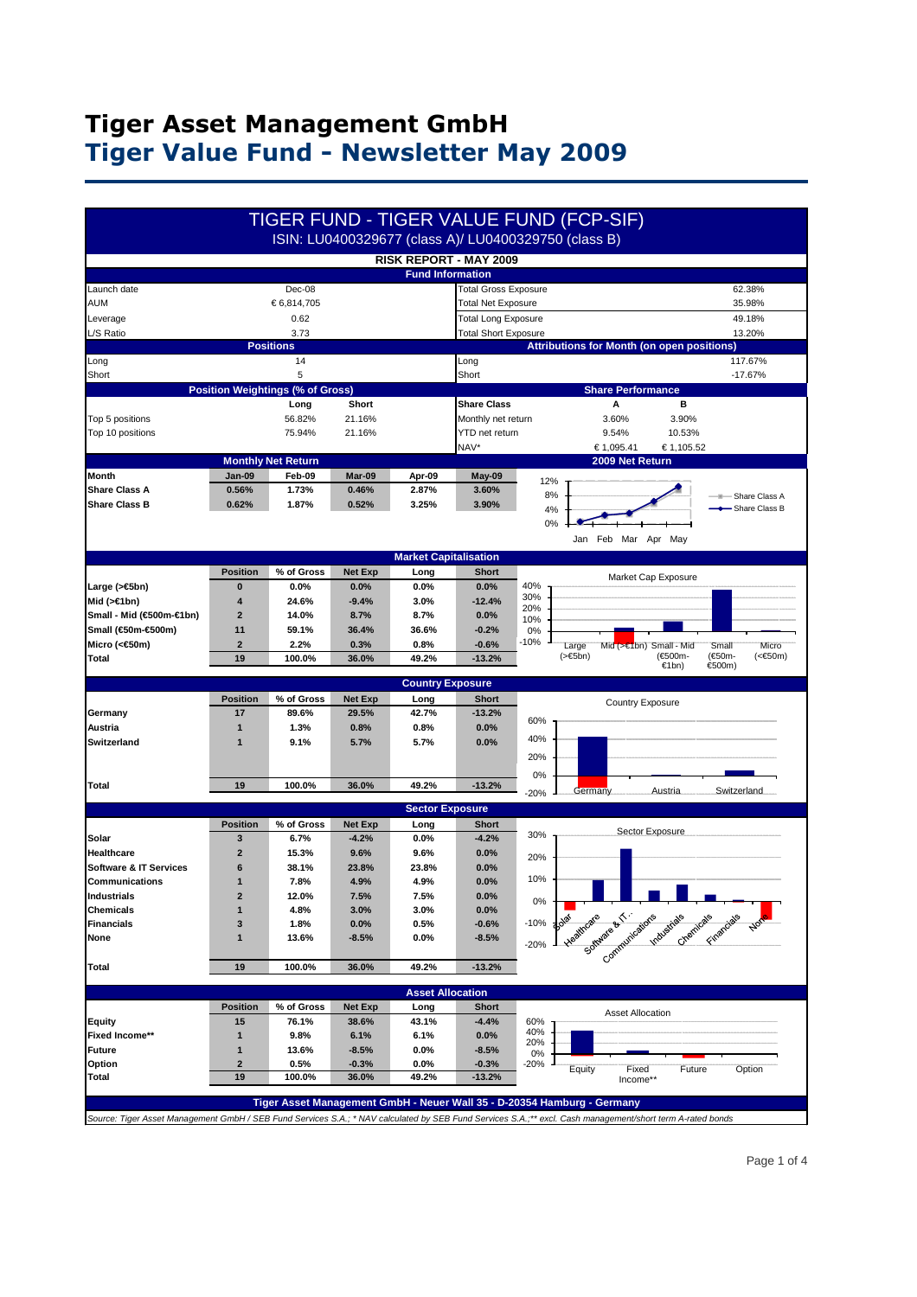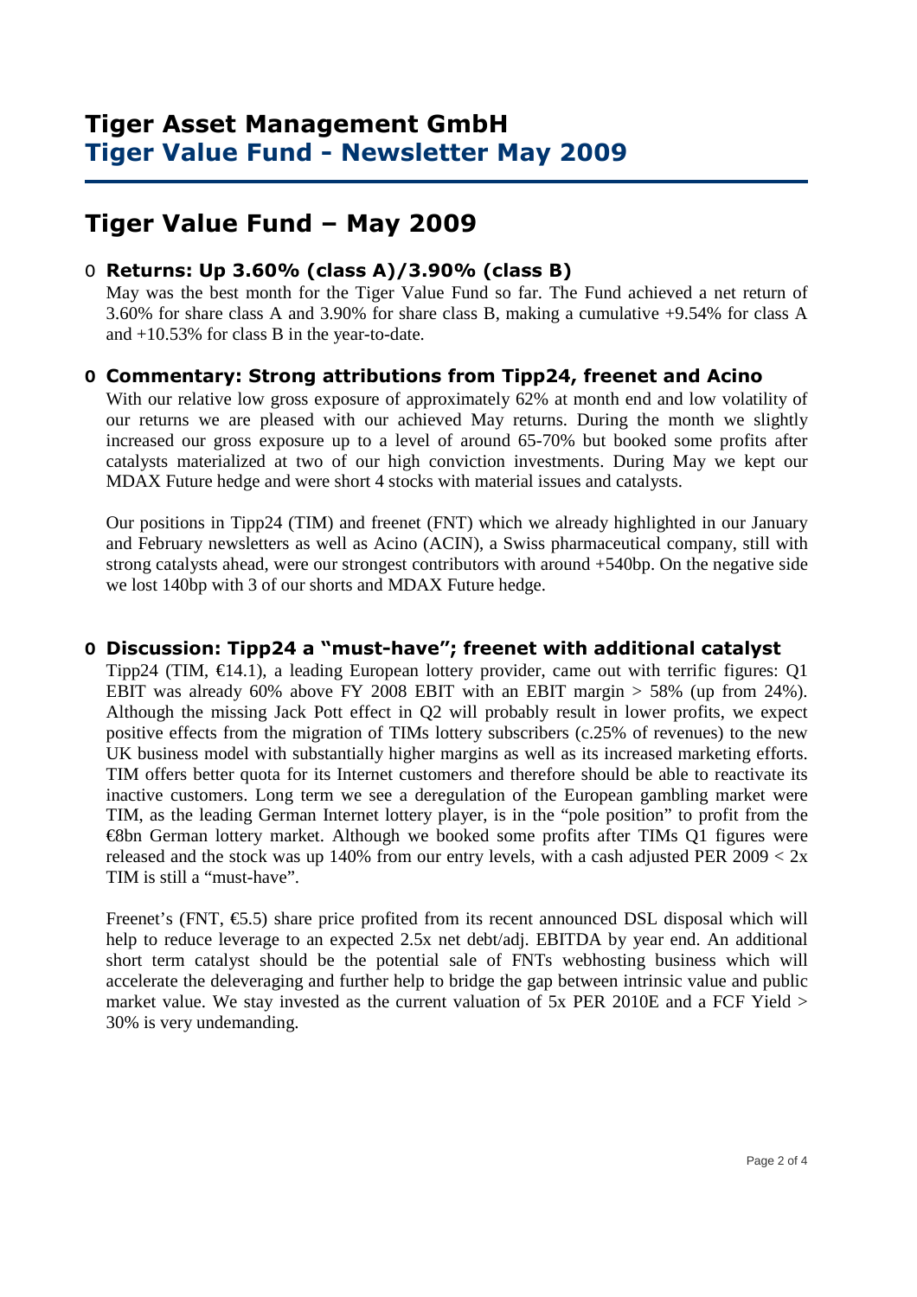# **Tiger Value Fund – May 2009**

#### O **Returns: Up 3.60% (class A)/3.90% (class B)**

 May was the best month for the Tiger Value Fund so far. The Fund achieved a net return of 3.60% for share class A and 3.90% for share class B, making a cumulative +9.54% for class A and +10.53% for class B in the year-to-date.

#### **O Commentary: Strong attributions from Tipp24, freenet and Acino**

With our relative low gross exposure of approximately 62% at month end and low volatility of our returns we are pleased with our achieved May returns. During the month we slightly increased our gross exposure up to a level of around 65-70% but booked some profits after catalysts materialized at two of our high conviction investments. During May we kept our MDAX Future hedge and were short 4 stocks with material issues and catalysts.

Our positions in Tipp24 (TIM) and freenet (FNT) which we already highlighted in our January and February newsletters as well as Acino (ACIN), a Swiss pharmaceutical company, still with strong catalysts ahead, were our strongest contributors with around +540bp. On the negative side we lost 140bp with 3 of our shorts and MDAX Future hedge.

#### **O Discussion: Tipp24 a "must-have"; freenet with additional catalyst**

Tipp24 (TIM,  $\in$ 14.1), a leading European lottery provider, came out with terrific figures: Q1 EBIT was already 60% above FY 2008 EBIT with an EBIT margin > 58% (up from 24%). Although the missing Jack Pott effect in Q2 will probably result in lower profits, we expect positive effects from the migration of TIMs lottery subscribers (c.25% of revenues) to the new UK business model with substantially higher margins as well as its increased marketing efforts. TIM offers better quota for its Internet customers and therefore should be able to reactivate its inactive customers. Long term we see a deregulation of the European gambling market were TIM, as the leading German Internet lottery player, is in the "pole position" to profit from the €8bn German lottery market. Although we booked some profits after TIMs Q1 figures were released and the stock was up 140% from our entry levels, with a cash adjusted PER  $2009 < 2x$ TIM is still a "must-have".

Freenet's (FNT,  $\epsilon$ 5.5) share price profited from its recent announced DSL disposal which will help to reduce leverage to an expected 2.5x net debt/adj. EBITDA by year end. An additional short term catalyst should be the potential sale of FNTs webhosting business which will accelerate the deleveraging and further help to bridge the gap between intrinsic value and public market value. We stay invested as the current valuation of 5x PER 2010E and a FCF Yield > 30% is very undemanding.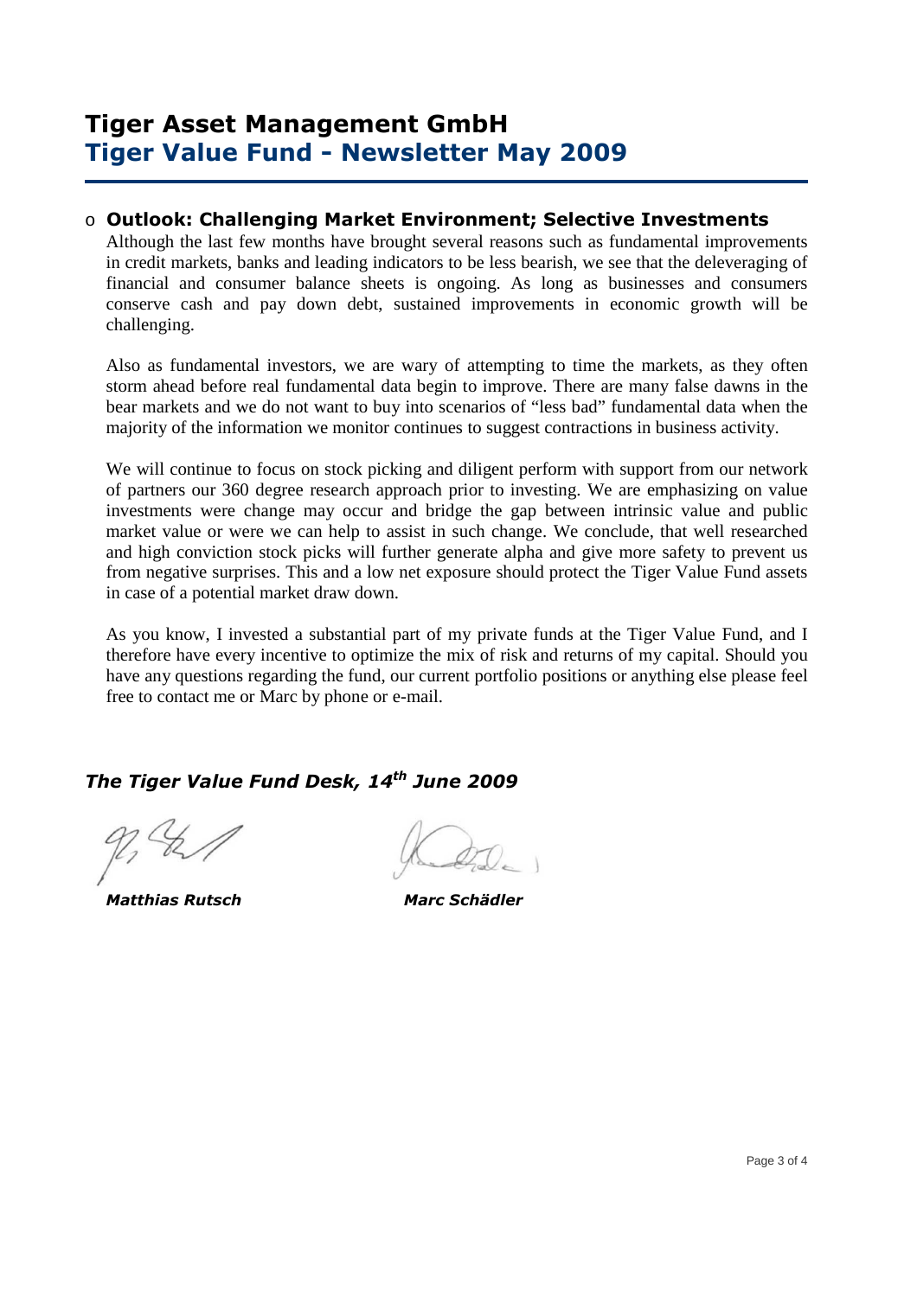#### o **Outlook: Challenging Market Environment; Selective Investments**

Although the last few months have brought several reasons such as fundamental improvements in credit markets, banks and leading indicators to be less bearish, we see that the deleveraging of financial and consumer balance sheets is ongoing. As long as businesses and consumers conserve cash and pay down debt, sustained improvements in economic growth will be challenging.

Also as fundamental investors, we are wary of attempting to time the markets, as they often storm ahead before real fundamental data begin to improve. There are many false dawns in the bear markets and we do not want to buy into scenarios of "less bad" fundamental data when the majority of the information we monitor continues to suggest contractions in business activity.

We will continue to focus on stock picking and diligent perform with support from our network of partners our 360 degree research approach prior to investing. We are emphasizing on value investments were change may occur and bridge the gap between intrinsic value and public market value or were we can help to assist in such change. We conclude, that well researched and high conviction stock picks will further generate alpha and give more safety to prevent us from negative surprises. This and a low net exposure should protect the Tiger Value Fund assets in case of a potential market draw down.

As you know, I invested a substantial part of my private funds at the Tiger Value Fund, and I therefore have every incentive to optimize the mix of risk and returns of my capital. Should you have any questions regarding the fund, our current portfolio positions or anything else please feel free to contact me or Marc by phone or e-mail.

### *The Tiger Value Fund Desk, 14th June 2009*

 *Matthias Rutsch Marc Schädler*